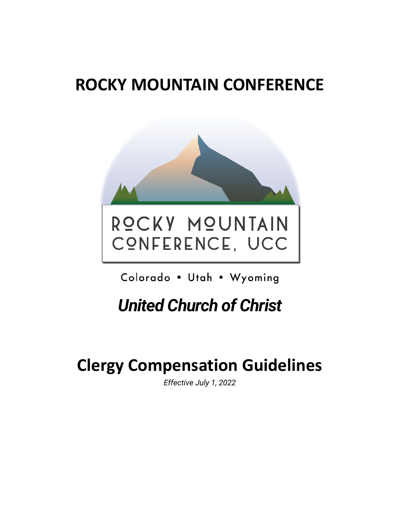# **ROCKY MOUNTAIN CONFERENCE**



Colorado . Utah . Wyoming

*United Church of Christ*

# **Clergy Compensation Guidelines**

*Effective July 1, 2022*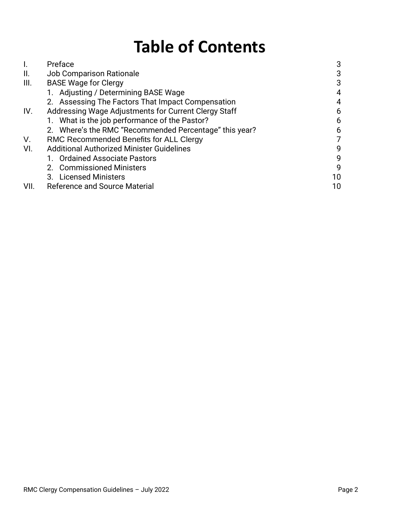# **Table of Contents**

| l.   | Preface                                                | 3  |
|------|--------------------------------------------------------|----|
| II.  | <b>Job Comparison Rationale</b>                        | 3  |
| III. | <b>BASE Wage for Clergy</b>                            | 3  |
|      | 1. Adjusting / Determining BASE Wage                   | 4  |
|      | 2. Assessing The Factors That Impact Compensation      | 4  |
| IV.  | Addressing Wage Adjustments for Current Clergy Staff   | 6  |
|      | 1. What is the job performance of the Pastor?          | 6  |
|      | 2. Where's the RMC "Recommended Percentage" this year? | 6  |
| V.   | RMC Recommended Benefits for ALL Clergy                | 7  |
| VI.  | <b>Additional Authorized Minister Guidelines</b>       | 9  |
|      | 1. Ordained Associate Pastors                          | 9  |
|      | 2. Commissioned Ministers                              | 9  |
|      | 3. Licensed Ministers                                  | 10 |
| VII. | <b>Reference and Source Material</b>                   | 10 |
|      |                                                        |    |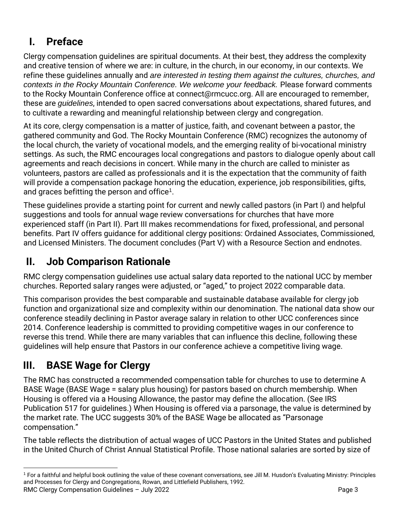# <span id="page-2-0"></span>**I. Preface**

Clergy compensation guidelines are spiritual documents. At their best, they address the complexity and creative tension of where we are: in culture, in the church, in our economy, in our contexts. We refine these guidelines annually and *are interested in testing them against the cultures, churches, and contexts in the Rocky Mountain Conference. We welcome your feedback.* Please forward comments to the Rocky Mountain Conference office at connect@rmcucc.org. All are encouraged to remember, these are *guidelines*, intended to open sacred conversations about expectations, shared futures, and to cultivate a rewarding and meaningful relationship between clergy and congregation.

At its core, clergy compensation is a matter of justice, faith, and covenant between a pastor, the gathered community and God. The Rocky Mountain Conference (RMC) recognizes the autonomy of the local church, the variety of vocational models, and the emerging reality of bi-vocational ministry settings. As such, the RMC encourages local congregations and pastors to dialogue openly about call agreements and reach decisions in concert. While many in the church are called to minister as volunteers, pastors are called as professionals and it is the expectation that the community of faith will provide a compensation package honoring the education, experience, job responsibilities, gifts, and graces befitting the person and office<sup>1</sup>.

These guidelines provide a starting point for current and newly called pastors (in Part I) and helpful suggestions and tools for annual wage review conversations for churches that have more experienced staff (in Part II). Part III makes recommendations for fixed, professional, and personal benefits. Part IV offers guidance for additional clergy positions: Ordained Associates, Commissioned, and Licensed Ministers. The document concludes (Part V) with a Resource Section and endnotes.

# <span id="page-2-1"></span>**II. Job Comparison Rationale**

RMC clergy compensation guidelines use actual salary data reported to the national UCC by member churches. Reported salary ranges were adjusted, or "aged," to project 2022 comparable data.

This comparison provides the best comparable and sustainable database available for clergy job function and organizational size and complexity within our denomination. The national data show our conference steadily declining in Pastor average salary in relation to other UCC conferences since 2014. Conference leadership is committed to providing competitive wages in our conference to reverse this trend. While there are many variables that can influence this decline, following these guidelines will help ensure that Pastors in our conference achieve a competitive living wage.

# <span id="page-2-2"></span>**III. BASE Wage for Clergy**

The RMC has constructed a recommended compensation table for churches to use to determine A BASE Wage (BASE Wage = salary plus housing) for pastors based on church membership. When Housing is offered via a Housing Allowance, the pastor may define the allocation. (See IRS Publication 517 for guidelines.) When Housing is offered via a parsonage, the value is determined by the market rate. The UCC suggests 30% of the BASE Wage be allocated as "Parsonage compensation."

The table reflects the distribution of actual wages of UCC Pastors in the United States and published in the United Church of Christ Annual Statistical Profile. Those national salaries are sorted by size of

RMC Clergy Compensation Guidelines – July 2022 **Page 3** Australian March 2014 Page 3 <sup>1</sup> For a faithful and helpful book outlining the value of these covenant conversations, see Jill M. Husdon's Evaluating Ministry: Principles and Processes for Clergy and Congregations, Rowan, and Littlefield Publishers, 1992.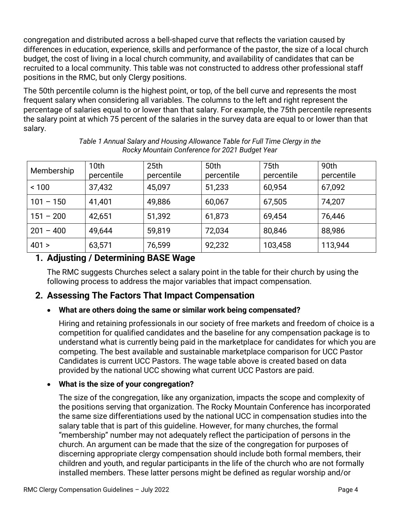congregation and distributed across a bell-shaped curve that reflects the variation caused by differences in education, experience, skills and performance of the pastor, the size of a local church budget, the cost of living in a local church community, and availability of candidates that can be recruited to a local community. This table was not constructed to address other professional staff positions in the RMC, but only Clergy positions.

The 50th percentile column is the highest point, or top, of the bell curve and represents the most frequent salary when considering all variables. The columns to the left and right represent the percentage of salaries equal to or lower than that salary. For example, the 75th percentile represents the salary point at which 75 percent of the salaries in the survey data are equal to or lower than that salary.

| Membership  | 10 <sub>th</sub><br>percentile | 25 <sub>th</sub><br>percentile | 50th<br>percentile | 75th<br>percentile | 90th<br>percentile |
|-------------|--------------------------------|--------------------------------|--------------------|--------------------|--------------------|
| ~100        | 37,432                         | 45,097                         | 51,233             | 60,954             | 67,092             |
| $101 - 150$ | 41,401                         | 49,886                         | 60,067             | 67,505             | 74,207             |
| $151 - 200$ | 42,651                         | 51,392                         | 61,873             | 69,454             | 76,446             |
| $201 - 400$ | 49,644                         | 59,819                         | 72,034             | 80,846             | 88,986             |
| 401 >       | 63,571                         | 76,599                         | 92,232             | 103,458            | 113,944            |

*Table 1 Annual Salary and Housing Allowance Table for Full Time Clergy in the Rocky Mountain Conference for 2021 Budget Year* 

### <span id="page-3-0"></span>**1. Adjusting / Determining BASE Wage**

The RMC suggests Churches select a salary point in the table for their church by using the following process to address the major variables that impact compensation.

### <span id="page-3-1"></span>**2. Assessing The Factors That Impact Compensation**

#### • **What are others doing the same or similar work being compensated?**

Hiring and retaining professionals in our society of free markets and freedom of choice is a competition for qualified candidates and the baseline for any compensation package is to understand what is currently being paid in the marketplace for candidates for which you are competing. The best available and sustainable marketplace comparison for UCC Pastor Candidates is current UCC Pastors. The wage table above is created based on data provided by the national UCC showing what current UCC Pastors are paid.

#### • **What is the size of your congregation?**

The size of the congregation, like any organization, impacts the scope and complexity of the positions serving that organization. The Rocky Mountain Conference has incorporated the same size differentiations used by the national UCC in compensation studies into the salary table that is part of this guideline. However, for many churches, the formal "membership" number may not adequately reflect the participation of persons in the church. An argument can be made that the size of the congregation for purposes of discerning appropriate clergy compensation should include both formal members, their children and youth, and regular participants in the life of the church who are not formally installed members. These latter persons might be defined as regular worship and/or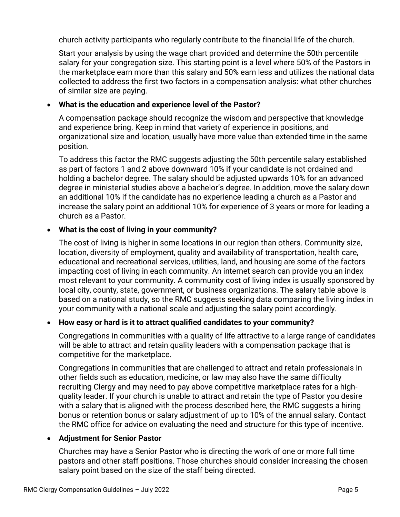church activity participants who regularly contribute to the financial life of the church.

Start your analysis by using the wage chart provided and determine the 50th percentile salary for your congregation size. This starting point is a level where 50% of the Pastors in the marketplace earn more than this salary and 50% earn less and utilizes the national data collected to address the first two factors in a compensation analysis: what other churches of similar size are paying.

#### • **What is the education and experience level of the Pastor?**

A compensation package should recognize the wisdom and perspective that knowledge and experience bring. Keep in mind that variety of experience in positions, and organizational size and location, usually have more value than extended time in the same position.

To address this factor the RMC suggests adjusting the 50th percentile salary established as part of factors 1 and 2 above downward 10% if your candidate is not ordained and holding a bachelor degree. The salary should be adjusted upwards 10% for an advanced degree in ministerial studies above a bachelor's degree. In addition, move the salary down an additional 10% if the candidate has no experience leading a church as a Pastor and increase the salary point an additional 10% for experience of 3 years or more for leading a church as a Pastor.

#### • **What is the cost of living in your community?**

The cost of living is higher in some locations in our region than others. Community size, location, diversity of employment, quality and availability of transportation, health care, educational and recreational services, utilities, land, and housing are some of the factors impacting cost of living in each community. An internet search can provide you an index most relevant to your community. A community cost of living index is usually sponsored by local city, county, state, government, or business organizations. The salary table above is based on a national study, so the RMC suggests seeking data comparing the living index in your community with a national scale and adjusting the salary point accordingly.

#### • **How easy or hard is it to attract qualified candidates to your community?**

Congregations in communities with a quality of life attractive to a large range of candidates will be able to attract and retain quality leaders with a compensation package that is competitive for the marketplace.

Congregations in communities that are challenged to attract and retain professionals in other fields such as education, medicine, or law may also have the same difficulty recruiting Clergy and may need to pay above competitive marketplace rates for a highquality leader. If your church is unable to attract and retain the type of Pastor you desire with a salary that is aligned with the process described here, the RMC suggests a hiring bonus or retention bonus or salary adjustment of up to 10% of the annual salary. Contact the RMC office for advice on evaluating the need and structure for this type of incentive.

#### • **Adjustment for Senior Pastor**

Churches may have a Senior Pastor who is directing the work of one or more full time pastors and other staff positions. Those churches should consider increasing the chosen salary point based on the size of the staff being directed.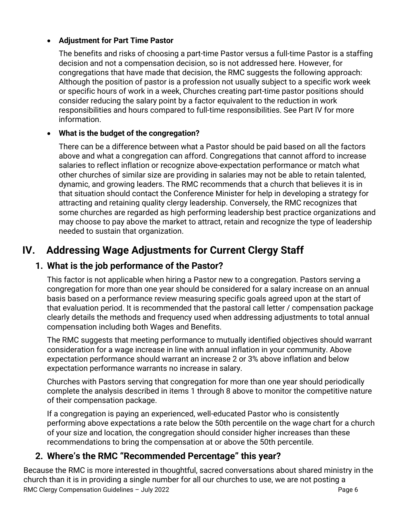#### • **Adjustment for Part Time Pastor**

The benefits and risks of choosing a part-time Pastor versus a full-time Pastor is a staffing decision and not a compensation decision, so is not addressed here. However, for congregations that have made that decision, the RMC suggests the following approach: Although the position of pastor is a profession not usually subject to a specific work week or specific hours of work in a week, Churches creating part-time pastor positions should consider reducing the salary point by a factor equivalent to the reduction in work responsibilities and hours compared to full-time responsibilities. See Part IV for more information.

#### • **What is the budget of the congregation?**

There can be a difference between what a Pastor should be paid based on all the factors above and what a congregation can afford. Congregations that cannot afford to increase salaries to reflect inflation or recognize above-expectation performance or match what other churches of similar size are providing in salaries may not be able to retain talented, dynamic, and growing leaders. The RMC recommends that a church that believes it is in that situation should contact the Conference Minister for help in developing a strategy for attracting and retaining quality clergy leadership. Conversely, the RMC recognizes that some churches are regarded as high performing leadership best practice organizations and may choose to pay above the market to attract, retain and recognize the type of leadership needed to sustain that organization.

# <span id="page-5-0"></span>**IV. Addressing Wage Adjustments for Current Clergy Staff**

### <span id="page-5-1"></span>**1. What is the job performance of the Pastor?**

This factor is not applicable when hiring a Pastor new to a congregation. Pastors serving a congregation for more than one year should be considered for a salary increase on an annual basis based on a performance review measuring specific goals agreed upon at the start of that evaluation period. It is recommended that the pastoral call letter / compensation package clearly details the methods and frequency used when addressing adjustments to total annual compensation including both Wages and Benefits.

The RMC suggests that meeting performance to mutually identified objectives should warrant consideration for a wage increase in line with annual inflation in your community. Above expectation performance should warrant an increase 2 or 3% above inflation and below expectation performance warrants no increase in salary.

Churches with Pastors serving that congregation for more than one year should periodically complete the analysis described in items 1 through 8 above to monitor the competitive nature of their compensation package.

If a congregation is paying an experienced, well-educated Pastor who is consistently performing above expectations a rate below the 50th percentile on the wage chart for a church of your size and location, the congregation should consider higher increases than these recommendations to bring the compensation at or above the 50th percentile.

### <span id="page-5-2"></span>**2. Where's the RMC "Recommended Percentage" this year?**

RMC Clergy Compensation Guidelines – July 2022 Page 6 Because the RMC is more interested in thoughtful, sacred conversations about shared ministry in the church than it is in providing a single number for all our churches to use, we are not posting a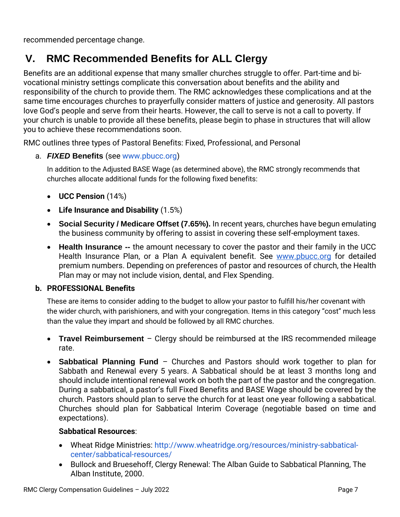recommended percentage change.

# <span id="page-6-0"></span>**V. RMC Recommended Benefits for ALL Clergy**

Benefits are an additional expense that many smaller churches struggle to offer. Part-time and bivocational ministry settings complicate this conversation about benefits and the ability and responsibility of the church to provide them. The RMC acknowledges these complications and at the same time encourages churches to prayerfully consider matters of justice and generosity. All pastors love God's people and serve from their hearts. However, the call to serve is not a call to poverty. If your church is unable to provide all these benefits, please begin to phase in structures that will allow you to achieve these recommendations soon.

RMC outlines three types of Pastoral Benefits: Fixed, Professional, and Personal

a. *FIXED* **Benefits** (see www.pbucc.org)

In addition to the Adjusted BASE Wage (as determined above), the RMC strongly recommends that churches allocate additional funds for the following fixed benefits:

- **UCC Pension** (14%)
- **Life Insurance and Disability** (1.5%)
- **Social Security / Medicare Offset (7.65%).** In recent years, churches have begun emulating the business community by offering to assist in covering these self-employment taxes.
- **Health Insurance --** the amount necessary to cover the pastor and their family in the UCC Health Insurance Plan, or a Plan A equivalent benefit. See www.pbucc.org for detailed premium numbers. Depending on preferences of pastor and resources of church, the Health Plan may or may not include vision, dental, and Flex Spending.

#### **b. PROFESSIONAL Benefits**

These are items to consider adding to the budget to allow your pastor to fulfill his/her covenant with the wider church, with parishioners, and with your congregation. Items in this category "cost" much less than the value they impart and should be followed by all RMC churches.

- **Travel Reimbursement**  Clergy should be reimbursed at the IRS recommended mileage rate.
- **Sabbatical Planning Fund** Churches and Pastors should work together to plan for Sabbath and Renewal every 5 years. A Sabbatical should be at least 3 months long and should include intentional renewal work on both the part of the pastor and the congregation. During a sabbatical, a pastor's full Fixed Benefits and BASE Wage should be covered by the church. Pastors should plan to serve the church for at least one year following a sabbatical. Churches should plan for Sabbatical Interim Coverage (negotiable based on time and expectations).

#### **Sabbatical Resources**:

- Wheat Ridge Ministries: [http://www.wheatridge.org/resources/ministry-sabbatical](http://www.wheatridge.org/resources/ministry-sabbatical-center/sabbatical-resources/)[center/sabbatical-resources/](http://www.wheatridge.org/resources/ministry-sabbatical-center/sabbatical-resources/)
- Bullock and Bruesehoff, Clergy Renewal: The Alban Guide to Sabbatical Planning, The Alban Institute, 2000.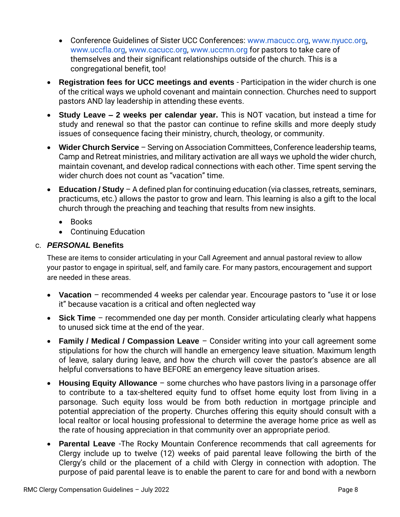- Conference Guidelines of Sister UCC Conferences: www.macucc.org, www.nyucc.org, www.uccfla.org, www.cacucc.org, www.uccmn.org for pastors to take care of themselves and their significant relationships outside of the church. This is a congregational benefit, too!
- **Registration fees for UCC meetings and events**  Participation in the wider church is one of the critical ways we uphold covenant and maintain connection. Churches need to support pastors AND lay leadership in attending these events.
- **Study Leave – 2 weeks per calendar year.** This is NOT vacation, but instead a time for study and renewal so that the pastor can continue to refine skills and more deeply study issues of consequence facing their ministry, church, theology, or community.
- **Wider Church Service**  Serving on Association Committees, Conference leadership teams, Camp and Retreat ministries, and military activation are all ways we uphold the wider church, maintain covenant, and develop radical connections with each other. Time spent serving the wider church does not count as "vacation" time.
- **Education / Study**  A defined plan for continuing education (via classes, retreats, seminars, practicums, etc.) allows the pastor to grow and learn. This learning is also a gift to the local church through the preaching and teaching that results from new insights.
	- Books
	- Continuing Education

#### c. *PERSONAL* **Benefits**

These are items to consider articulating in your Call Agreement and annual pastoral review to allow your pastor to engage in spiritual, self, and family care. For many pastors, encouragement and support are needed in these areas.

- **Vacation**  recommended 4 weeks per calendar year. Encourage pastors to "use it or lose it" because vacation is a critical and often neglected way
- **Sick Time**  recommended one day per month. Consider articulating clearly what happens to unused sick time at the end of the year.
- **Family / Medical / Compassion Leave**  Consider writing into your call agreement some stipulations for how the church will handle an emergency leave situation. Maximum length of leave, salary during leave, and how the church will cover the pastor's absence are all helpful conversations to have BEFORE an emergency leave situation arises.
- **Housing Equity Allowance**  some churches who have pastors living in a parsonage offer to contribute to a tax-sheltered equity fund to offset home equity lost from living in a parsonage. Such equity loss would be from both reduction in mortgage principle and potential appreciation of the property. Churches offering this equity should consult with a local realtor or local housing professional to determine the average home price as well as the rate of housing appreciation in that community over an appropriate period.
- **Parental Leave** -The Rocky Mountain Conference recommends that call agreements for Clergy include up to twelve (12) weeks of paid parental leave following the birth of the Clergy's child or the placement of a child with Clergy in connection with adoption. The purpose of paid parental leave is to enable the parent to care for and bond with a newborn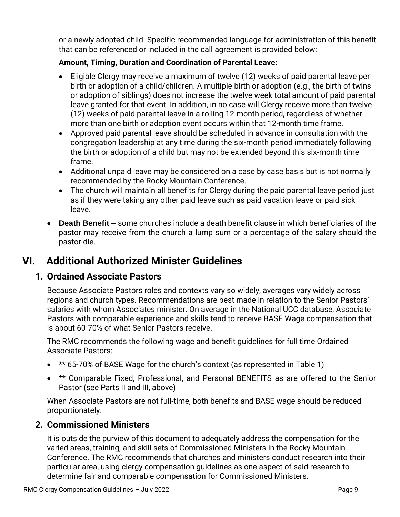or a newly adopted child. Specific recommended language for administration of this benefit that can be referenced or included in the call agreement is provided below:

#### **Amount, Timing, Duration and Coordination of Parental Leave**:

- Eligible Clergy may receive a maximum of twelve (12) weeks of paid parental leave per birth or adoption of a child/children. A multiple birth or adoption (e.g., the birth of twins or adoption of siblings) does not increase the twelve week total amount of paid parental leave granted for that event. In addition, in no case will Clergy receive more than twelve (12) weeks of paid parental leave in a rolling 12-month period, regardless of whether more than one birth or adoption event occurs within that 12-month time frame.
- Approved paid parental leave should be scheduled in advance in consultation with the congregation leadership at any time during the six-month period immediately following the birth or adoption of a child but may not be extended beyond this six-month time frame.
- Additional unpaid leave may be considered on a case by case basis but is not normally recommended by the Rocky Mountain Conference.
- The church will maintain all benefits for Clergy during the paid parental leave period just as if they were taking any other paid leave such as paid vacation leave or paid sick leave.
- **Death Benefit –** some churches include a death benefit clause in which beneficiaries of the pastor may receive from the church a lump sum or a percentage of the salary should the pastor die.

## <span id="page-8-0"></span>**VI. Additional Authorized Minister Guidelines**

### <span id="page-8-1"></span>**1. Ordained Associate Pastors**

Because Associate Pastors roles and contexts vary so widely, averages vary widely across regions and church types. Recommendations are best made in relation to the Senior Pastors' salaries with whom Associates minister. On average in the National UCC database, Associate Pastors with comparable experience and skills tend to receive BASE Wage compensation that is about 60-70% of what Senior Pastors receive.

The RMC recommends the following wage and benefit guidelines for full time Ordained Associate Pastors:

- \*\* 65-70% of BASE Wage for the church's context (as represented in Table 1)
- \*\* Comparable Fixed, Professional, and Personal BENEFITS as are offered to the Senior Pastor (see Parts II and III, above)

When Associate Pastors are not full-time, both benefits and BASE wage should be reduced proportionately.

### <span id="page-8-2"></span>**2. Commissioned Ministers**

It is outside the purview of this document to adequately address the compensation for the varied areas, training, and skill sets of Commissioned Ministers in the Rocky Mountain Conference. The RMC recommends that churches and ministers conduct research into their particular area, using clergy compensation guidelines as one aspect of said research to determine fair and comparable compensation for Commissioned Ministers.